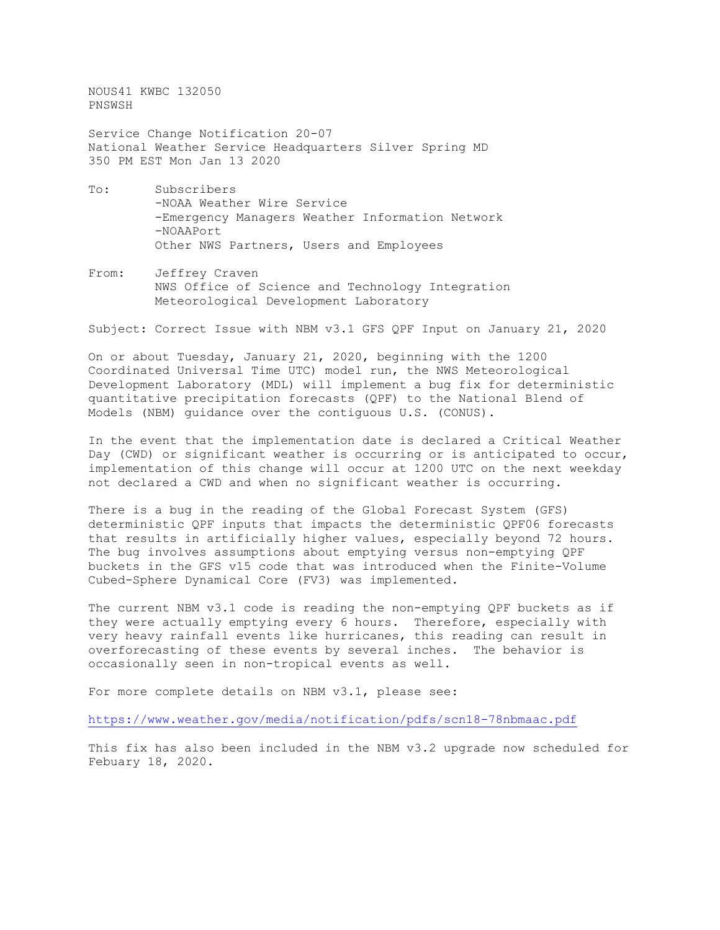NOUS41 KWBC 132050 PNSWSH

Service Change Notification 20-07 National Weather Service Headquarters Silver Spring MD 350 PM EST Mon Jan 13 2020

- To: Subscribers -NOAA Weather Wire Service -Emergency Managers Weather Information Network -NOAAPort Other NWS Partners, Users and Employees
- From: Jeffrey Craven NWS Office of Science and Technology Integration Meteorological Development Laboratory

Subject: Correct Issue with NBM v3.1 GFS QPF Input on January 21, 2020

On or about Tuesday, January 21, 2020, beginning with the 1200 Coordinated Universal Time UTC) model run, the NWS Meteorological Development Laboratory (MDL) will implement a bug fix for deterministic quantitative precipitation forecasts (QPF) to the National Blend of Models (NBM) guidance over the contiguous U.S. (CONUS).

In the event that the implementation date is declared a Critical Weather Day (CWD) or significant weather is occurring or is anticipated to occur, implementation of this change will occur at 1200 UTC on the next weekday not declared a CWD and when no significant weather is occurring.

There is a bug in the reading of the Global Forecast System (GFS) deterministic QPF inputs that impacts the deterministic QPF06 forecasts that results in artificially higher values, especially beyond 72 hours. The bug involves assumptions about emptying versus non-emptying QPF buckets in the GFS v15 code that was introduced when the Finite-Volume Cubed-Sphere Dynamical Core (FV3) was implemented.

The current NBM v3.1 code is reading the non-emptying QPF buckets as if they were actually emptying every 6 hours. Therefore, especially with very heavy rainfall events like hurricanes, this reading can result in overforecasting of these events by several inches. The behavior is occasionally seen in non-tropical events as well.

For more complete details on NBM v3.1, please see:

<https://www.weather.gov/media/notification/pdfs/scn18-78nbmaac.pdf>

This fix has also been included in the NBM v3.2 upgrade now scheduled for Febuary 18, 2020.